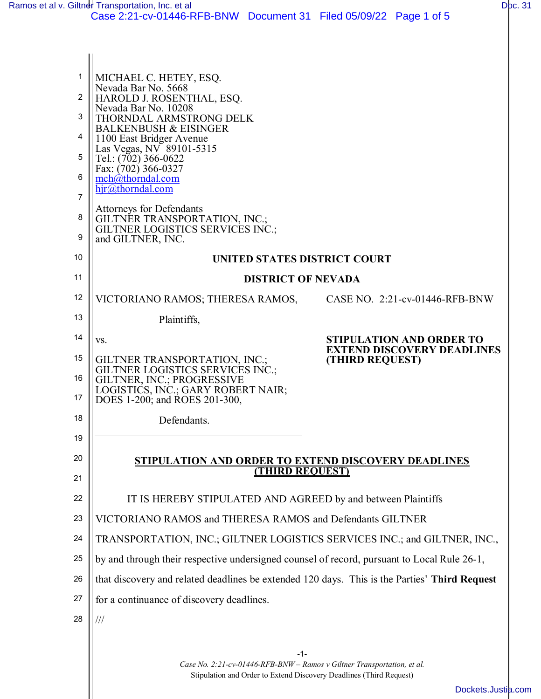| 1<br>2<br>3<br>4    | MICHAEL C. HETEY, ESQ.<br>Nevada Bar No. 5668<br>HAROLD J. ROSENTHAL, ESQ.<br>Nevada Bar No. 10208<br>THORNDAL ARMSTRONG DELK<br><b>BALKENBUSH &amp; EISINGER</b><br>1100 East Bridger Avenue<br>Las Vegas, NV 89101-5315 |                                                                      |  |  |  |
|---------------------|---------------------------------------------------------------------------------------------------------------------------------------------------------------------------------------------------------------------------|----------------------------------------------------------------------|--|--|--|
| 5                   | Tel.: (702) 366-0622<br>Fax: (702) 366-0327                                                                                                                                                                               |                                                                      |  |  |  |
| 6<br>$\overline{7}$ | mch@thorndal.com<br>hjr@thorndal.com                                                                                                                                                                                      |                                                                      |  |  |  |
| 8<br>9              | <b>Attorneys for Defendants</b><br>GILTNER TRANSPORTATION, INC.;<br><b>GILTNER LOGISTICS SERVICES INC.;</b><br>and GILTNER, INC.                                                                                          |                                                                      |  |  |  |
| 10                  | UNITED STATES DISTRICT COURT                                                                                                                                                                                              |                                                                      |  |  |  |
| 11                  | <b>DISTRICT OF NEVADA</b>                                                                                                                                                                                                 |                                                                      |  |  |  |
| 12                  | VICTORIANO RAMOS; THERESA RAMOS,                                                                                                                                                                                          | CASE NO. 2:21-cv-01446-RFB-BNW                                       |  |  |  |
| 13                  | Plaintiffs,                                                                                                                                                                                                               |                                                                      |  |  |  |
| 14                  | VS.                                                                                                                                                                                                                       | <b>STIPULATION AND ORDER TO</b><br><b>EXTEND DISCOVERY DEADLINES</b> |  |  |  |
| 15                  | <b>GILTNER TRANSPORTATION, INC.;</b><br><b>GILTNER LOGISTICS SERVICES INC.;</b>                                                                                                                                           | (THIRD REQUEST)                                                      |  |  |  |
| 16<br>17            | GILTNER, INC.; PROGRESSIVE<br>LOGISTICS, INC.; GARY ROBERT NAIR;<br>DOES 1-200; and ROES 201-300,                                                                                                                         |                                                                      |  |  |  |
| 18                  | Defendants.                                                                                                                                                                                                               |                                                                      |  |  |  |
| 19                  |                                                                                                                                                                                                                           |                                                                      |  |  |  |
| 20                  | <b>STIPULATION AND ORDER TO EXTEND DISCOVERY DEADLINES</b>                                                                                                                                                                | <b>THIRD REQUEST)</b>                                                |  |  |  |
| 21                  |                                                                                                                                                                                                                           |                                                                      |  |  |  |
| 22                  | IT IS HEREBY STIPULATED AND AGREED by and between Plaintiffs                                                                                                                                                              |                                                                      |  |  |  |
| 23                  | VICTORIANO RAMOS and THERESA RAMOS and Defendants GILTNER                                                                                                                                                                 |                                                                      |  |  |  |
| 24                  | TRANSPORTATION, INC.; GILTNER LOGISTICS SERVICES INC.; and GILTNER, INC.,                                                                                                                                                 |                                                                      |  |  |  |
| 25                  | by and through their respective undersigned counsel of record, pursuant to Local Rule 26-1,                                                                                                                               |                                                                      |  |  |  |
| 26                  | that discovery and related deadlines be extended 120 days. This is the Parties' Third Request                                                                                                                             |                                                                      |  |  |  |
| 27                  | for a continuance of discovery deadlines.                                                                                                                                                                                 |                                                                      |  |  |  |
| 28                  |                                                                                                                                                                                                                           |                                                                      |  |  |  |
|                     |                                                                                                                                                                                                                           |                                                                      |  |  |  |
|                     | -1-<br>Case No. 2:21-cv-01446-RFB-BNW - Ramos v Giltner Transportation, et al.                                                                                                                                            |                                                                      |  |  |  |

Stipulation and Order to Extend Discovery Deadlines (Third Request)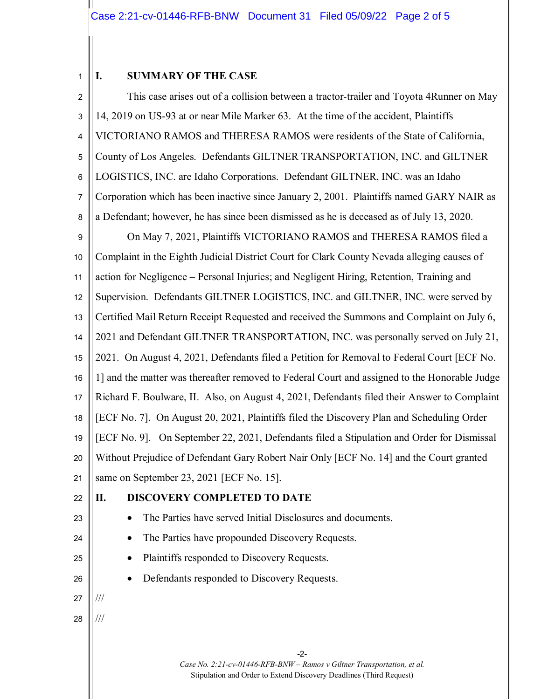#### 1 **I. SUMMARY OF THE CASE**

-2- *Case No. 2:21-cv-01446-RFB-BNW – Ramos v Giltner Transportation, et al.* Stipulation and Order to Extend Discovery Deadlines (Third Request) 2 3 4 5 6 7 8 9 10 11 12 13 14 15 16 17 18 19 20 21 22 23 24 25 26 27 28 This case arises out of a collision between a tractor-trailer and Toyota 4Runner on May 14, 2019 on US-93 at or near Mile Marker 63. At the time of the accident, Plaintiffs VICTORIANO RAMOS and THERESA RAMOS were residents of the State of California, County of Los Angeles. Defendants GILTNER TRANSPORTATION, INC. and GILTNER LOGISTICS, INC. are Idaho Corporations. Defendant GILTNER, INC. was an Idaho Corporation which has been inactive since January 2, 2001. Plaintiffs named GARY NAIR as a Defendant; however, he has since been dismissed as he is deceased as of July 13, 2020. On May 7, 2021, Plaintiffs VICTORIANO RAMOS and THERESA RAMOS filed a Complaint in the Eighth Judicial District Court for Clark County Nevada alleging causes of action for Negligence – Personal Injuries; and Negligent Hiring, Retention, Training and Supervision. Defendants GILTNER LOGISTICS, INC. and GILTNER, INC. were served by Certified Mail Return Receipt Requested and received the Summons and Complaint on July 6, 2021 and Defendant GILTNER TRANSPORTATION, INC. was personally served on July 21, 2021. On August 4, 2021, Defendants filed a Petition for Removal to Federal Court [ECF No. 1] and the matter was thereafter removed to Federal Court and assigned to the Honorable Judge Richard F. Boulware, II. Also, on August 4, 2021, Defendants filed their Answer to Complaint [ECF No. 7]. On August 20, 2021, Plaintiffs filed the Discovery Plan and Scheduling Order [ECF No. 9]. On September 22, 2021, Defendants filed a Stipulation and Order for Dismissal Without Prejudice of Defendant Gary Robert Nair Only [ECF No. 14] and the Court granted same on September 23, 2021 [ECF No. 15]. **II. DISCOVERY COMPLETED TO DATE** • The Parties have served Initial Disclosures and documents. • The Parties have propounded Discovery Requests. • Plaintiffs responded to Discovery Requests. Defendants responded to Discovery Requests. /// ///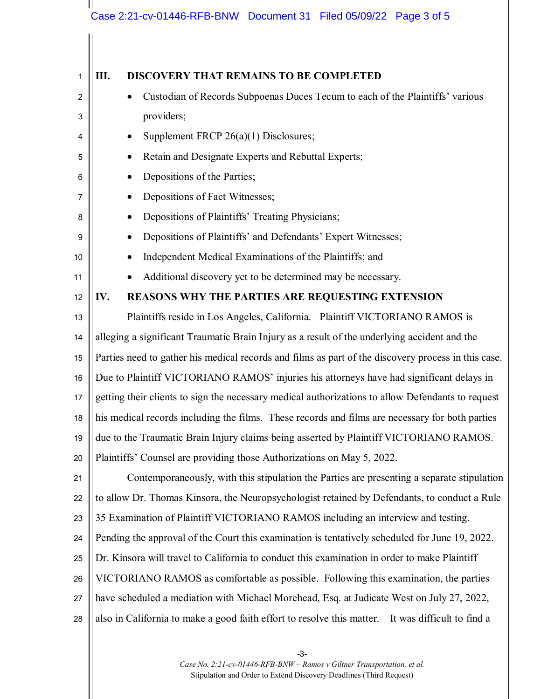#### $\mathbf{\mathbf{\mathsf{H}}}$ Case 2:21-cv-01446-RFB-BNW Document 31 Filed 05/09/22 Page 3 of 5

| 1  | Ш.<br><b>DISCOVERY THAT REMAINS TO BE COMPLETED</b>                                                  |  |  |  |
|----|------------------------------------------------------------------------------------------------------|--|--|--|
| 2  | Custodian of Records Subpoenas Duces Tecum to each of the Plaintiffs' various                        |  |  |  |
| 3  | providers;                                                                                           |  |  |  |
| 4  | Supplement FRCP 26(a)(1) Disclosures;                                                                |  |  |  |
| 5  | Retain and Designate Experts and Rebuttal Experts;                                                   |  |  |  |
| 6  | Depositions of the Parties;                                                                          |  |  |  |
| 7  | Depositions of Fact Witnesses;                                                                       |  |  |  |
| 8  | Depositions of Plaintiffs' Treating Physicians;                                                      |  |  |  |
| 9  | Depositions of Plaintiffs' and Defendants' Expert Witnesses;                                         |  |  |  |
| 10 | Independent Medical Examinations of the Plaintiffs; and                                              |  |  |  |
| 11 | Additional discovery yet to be determined may be necessary.                                          |  |  |  |
| 12 | REASONS WHY THE PARTIES ARE REQUESTING EXTENSION<br>IV.                                              |  |  |  |
| 13 | Plaintiffs reside in Los Angeles, California. Plaintiff VICTORIANO RAMOS is                          |  |  |  |
| 14 | alleging a significant Traumatic Brain Injury as a result of the underlying accident and the         |  |  |  |
| 15 | Parties need to gather his medical records and films as part of the discovery process in this case.  |  |  |  |
| 16 | Due to Plaintiff VICTORIANO RAMOS' injuries his attorneys have had significant delays in             |  |  |  |
| 17 | getting their clients to sign the necessary medical authorizations to allow Defendants to request    |  |  |  |
| 18 | his medical records including the films. These records and films are necessary for both parties      |  |  |  |
| 19 | due to the Traumatic Brain Injury claims being asserted by Plaintiff VICTORIANO RAMOS.               |  |  |  |
| 20 | Plaintiffs' Counsel are providing those Authorizations on May 5, 2022.                               |  |  |  |
| 21 | Contemporaneously, with this stipulation the Parties are presenting a separate stipulation           |  |  |  |
| 22 | to allow Dr. Thomas Kinsora, the Neuropsychologist retained by Defendants, to conduct a Rule         |  |  |  |
| 23 | 35 Examination of Plaintiff VICTORIANO RAMOS including an interview and testing.                     |  |  |  |
| 24 | Pending the approval of the Court this examination is tentatively scheduled for June 19, 2022.       |  |  |  |
| 25 | Dr. Kinsora will travel to California to conduct this examination in order to make Plaintiff         |  |  |  |
| 26 | VICTORIANO RAMOS as comfortable as possible. Following this examination, the parties                 |  |  |  |
| 27 | have scheduled a mediation with Michael Morehead, Esq. at Judicate West on July 27, 2022,            |  |  |  |
| 28 | also in California to make a good faith effort to resolve this matter.<br>It was difficult to find a |  |  |  |
|    |                                                                                                      |  |  |  |

-3- *Case No. 2:21-cv-01446-RFB-BNW – Ramos v Giltner Transportation, et al.* Stipulation and Order to Extend Discovery Deadlines (Third Request)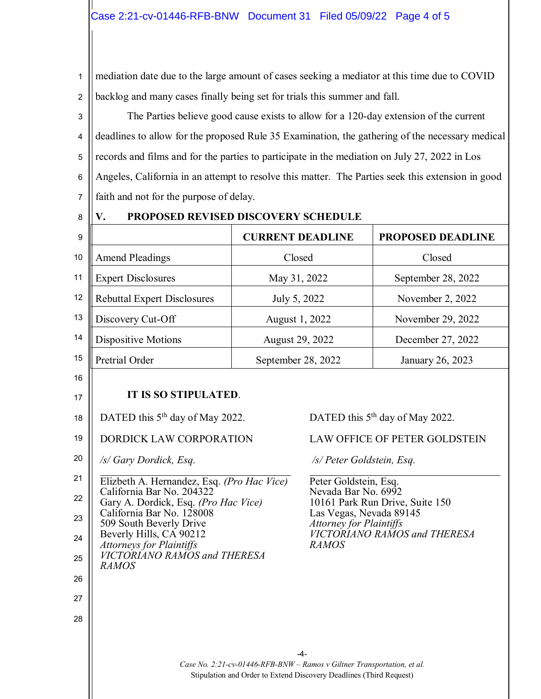1 2 mediation date due to the large amount of cases seeking a mediator at this time due to COVID backlog and many cases finally being set for trials this summer and fall.

3 4 5 6 7 The Parties believe good cause exists to allow for a 120-day extension of the current deadlines to allow for the proposed Rule 35 Examination, the gathering of the necessary medical records and films and for the parties to participate in the mediation on July 27, 2022 in Los Angeles, California in an attempt to resolve this matter. The Parties seek this extension in good faith and not for the purpose of delay.

8

### **V. PROPOSED REVISED DISCOVERY SCHEDULE**

| 9  |                                    | <b>CURRENT DEADLINE</b> | <b>PROPOSED DEADLINE</b> |
|----|------------------------------------|-------------------------|--------------------------|
| 10 | <b>Amend Pleadings</b>             | Closed                  | Closed                   |
| 11 | <b>Expert Disclosures</b>          | May 31, 2022            | September 28, 2022       |
| 12 | <b>Rebuttal Expert Disclosures</b> | July 5, 2022            | November 2, 2022         |
| 13 | Discovery Cut-Off                  | August 1, 2022          | November 29, 2022        |
| 14 | Dispositive Motions                | August 29, 2022         | December 27, 2022        |
| 15 | Pretrial Order                     | September 28, 2022      | January 26, 2023         |

16

17

26

27

28

# **IT IS SO STIPULATED**.

- 18 DATED this 5<sup>th</sup> day of May 2022.
- 19 DORDICK LAW CORPORATION
- 20 */s/ Gary Dordick, Esq.*
- 21 22 23 24 25 Elizbeth A. Hernandez, Esq. *(Pro Hac Vice)* California Bar No. 204322 Gary A. Dordick, Esq. *(Pro Hac Vice)* California Bar No. 128008 509 South Beverly Drive Beverly Hills, CA 90212 *Attorneys for Plaintiffs VICTORIANO RAMOS and THERESA*

# *RAMOS*

DATED this 5<sup>th</sup> day of May 2022.

#### LAW OFFICE OF PETER GOLDSTEIN

 */s/ Peter Goldstein, Esq.*

Peter Goldstein, Esq. Nevada Bar No. 6992 10161 Park Run Drive, Suite 150 Las Vegas, Nevada 89145 *Attorney for Plaintiffs VICTORIANO RAMOS and THERESA RAMOS*

 $-4-$ *Case No. 2:21-cv-01446-RFB-BNW – Ramos v Giltner Transportation, et al.* Stipulation and Order to Extend Discovery Deadlines (Third Request)